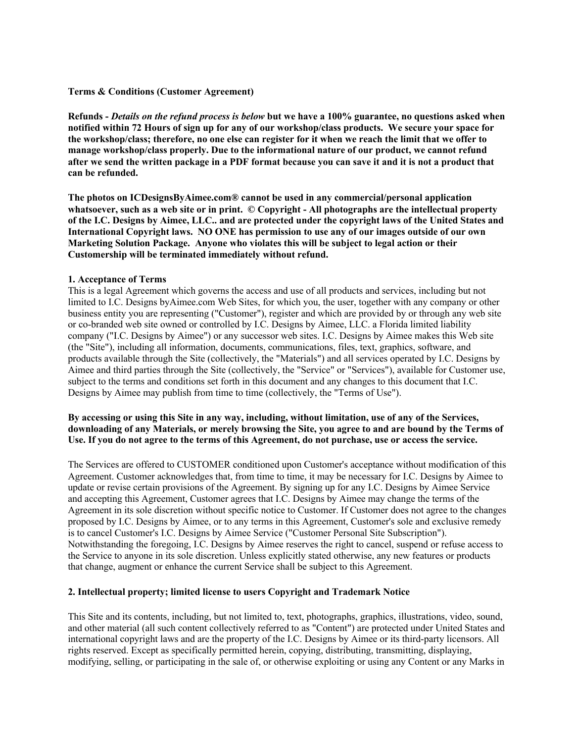## **Terms & Conditions (Customer Agreement)**

Refunds - Details on the refund process is below but we have a 100% guarantee, no questions asked when notified within 72 Hours of sign up for any of our workshop/class products. We secure your space for the workshop/class; therefore, no one else can register for it when we reach the limit that we offer to **manage workshop/class properly. Due to the informational nature of our product, we cannot refund** after we send the written package in a PDF format because you can save it and it is not a product that **can be refunded.**

**The photos on ICDesignsByAimee.com® cannot be used in any commercial/personal application** whatsoever, such as a web site or in print. © Copyright - All photographs are the intellectual property of the I.C. Designs by Aimee, LLC.. and are protected under the copyright laws of the United States and **International Copyright laws. NO ONE has permission to use any of our images outside of our own Marketing Solution Package. Anyone who violates this will be subject to legal action or their Customership will be terminated immediately without refund.**

## **1. Acceptance of Terms**

This is a legal Agreement which governs the access and use of all products and services, including but not limited to I.C. Designs byAimee.com Web Sites, for which you, the user, together with any company or other business entity you are representing ("Customer"), register and which are provided by or through any web site or co-branded web site owned or controlled by I.C. Designs by Aimee, LLC. a Florida limited liability company ("I.C. Designs by Aimee") or any successor web sites. I.C. Designs by Aimee makes this Web site (the "Site"), including all information, documents, communications, files, text, graphics, software, and products available through the Site (collectively, the "Materials") and all services operated by I.C. Designs by Aimee and third parties through the Site (collectively, the "Service" or "Services"), available for Customer use, subject to the terms and conditions set forth in this document and any changes to this document that I.C. Designs by Aimee may publish from time to time (collectively, the "Terms of Use").

# By accessing or using this Site in any way, including, without limitation, use of any of the Services, downloading of any Materials, or merely browsing the Site, you agree to and are bound by the Terms of Use. If you do not agree to the terms of this Agreement, do not purchase, use or access the service.

The Services are offered to CUSTOMER conditioned upon Customer's acceptance without modification of this Agreement. Customer acknowledges that, from time to time, it may be necessary for I.C. Designs by Aimee to update or revise certain provisions of the Agreement. By signing up for any I.C. Designs by Aimee Service and accepting this Agreement, Customer agrees that I.C. Designs by Aimee may change the terms of the Agreement in its sole discretion without specific notice to Customer. If Customer does not agree to the changes proposed by I.C. Designs by Aimee, or to any terms in this Agreement, Customer's sole and exclusive remedy is to cancel Customer's I.C. Designs by Aimee Service ("Customer Personal Site Subscription"). Notwithstanding the foregoing, I.C. Designs by Aimee reserves the right to cancel, suspend or refuse access to the Service to anyone in its sole discretion. Unless explicitly stated otherwise, any new features or products that change, augment or enhance the current Service shall be subject to this Agreement.

## **2. Intellectual property; limited license to users Copyright and Trademark Notice**

This Site and its contents, including, but not limited to, text, photographs, graphics, illustrations, video, sound, and other material (all such content collectively referred to as "Content") are protected under United States and international copyright laws and are the property of the I.C. Designs by Aimee or its third-party licensors. All rights reserved. Except as specifically permitted herein, copying, distributing, transmitting, displaying, modifying, selling, or participating in the sale of, or otherwise exploiting or using any Content or any Marks in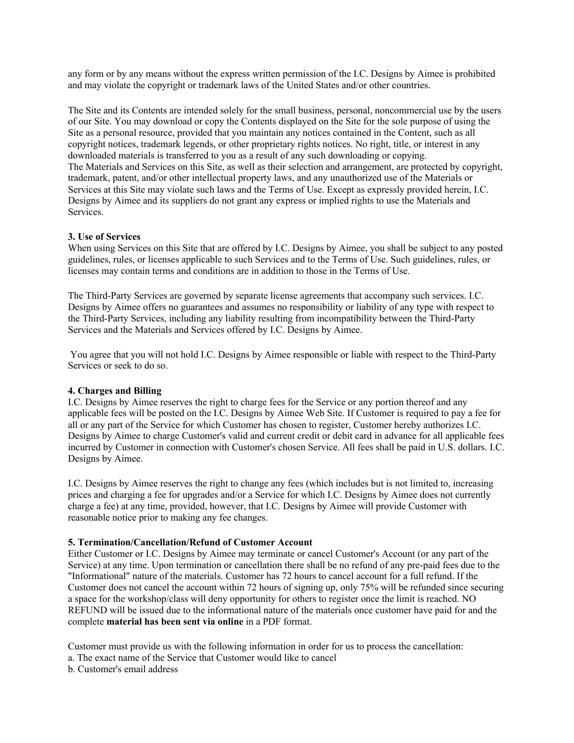any form or by any means without the express written permission of the I.C. Designs by Aimee is prohibited and may violate the copyright or trademark laws of the United States and/or other countries.

The Site and its Contents are intended solely for the small business, personal, noncommercial use by the users of our Site. You may download or copy the Contents displayed on the Site for the sole purpose of using the Site as a personal resource, provided that you maintain any notices contained in the Content, such as all copyright notices, trademark legends, or other proprietary rights notices. No right, title, or interest in any downloaded materials is transferred to you as a result of any such downloading or copying. The Materials and Services on this Site, as well as their selection and arrangement, are protected by copyright, trademark, patent, and/or other intellectual property laws, and any unauthorized use of the Materials or Services at this Site may violate such laws and the Terms of Use. Except as expressly provided herein, I.C. Designs by Aimee and its suppliers do not grant any express or implied rights to use the Materials and Services.

## **3. Use of Services**

When using Services on this Site that are offered by I.C. Designs by Aimee, you shall be subject to any posted guidelines, rules, or licenses applicable to such Services and to the Terms of Use. Such guidelines, rules, or licenses may contain terms and conditions are in addition to those in the Terms of Use.

The Third-Party Services are governed by separate license agreements that accompany such services. I.C. Designs by Aimee offers no guarantees and assumes no responsibility or liability of any type with respect to the Third-Party Services, including any liability resulting from incompatibility between the Third-Party Services and the Materials and Services offered by I.C. Designs by Aimee.

You agree that you will not hold I.C. Designs by Aimee responsible or liable with respect to the Third-Party Services or seek to do so.

#### **4. Charges and Billing**

I.C. Designs by Aimee reserves the right to charge fees for the Service or any portion thereof and any applicable fees will be posted on the I.C. Designs by Aimee Web Site. If Customer is required to pay a fee for all or any part of the Service for which Customer has chosen to register, Customer hereby authorizes I.C. Designs by Aimee to charge Customer's valid and current credit or debit card in advance for all applicable fees incurred by Customer in connection with Customer's chosen Service. All fees shall be paid in U.S. dollars. I.C. Designs by Aimee.

I.C. Designs by Aimee reserves the right to change any fees (which includes but is not limited to, increasing prices and charging a fee for upgrades and/or a Service for which I.C. Designs by Aimee does not currently charge a fee) at any time, provided, however, that I.C. Designs by Aimee will provide Customer with reasonable notice prior to making any fee changes.

#### **5. Termination/Cancellation/Refund of Customer Account**

Either Customer or I.C. Designs by Aimee may terminate or cancel Customer's Account (or any part of the Service) at any time. Upon termination or cancellation there shall be no refund of any pre-paid fees due to the "Informational" nature of the materials. Customer has 72 hours to cancel account for a full refund. If the Customer does not cancel the account within 72 hours of signing up, only 75% will be refunded since securing a space for the workshop/class will deny opportunity for others to register once the limit is reached. NO REFUND will be issued due to the informational nature of the materials once customer have paid for and the complete **material has been sent via online** in a PDF format.

Customer must provide us with the following information in order for us to process the cancellation:

- a. The exact name of the Service that Customer would like to cancel
- b. Customer's email address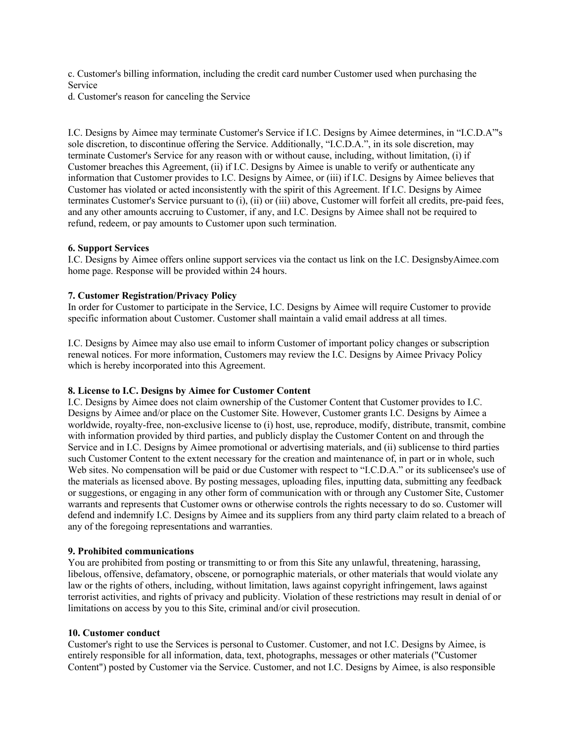c. Customer's billing information, including the credit card number Customer used when purchasing the Service

d. Customer's reason for canceling the Service

I.C. Designs by Aimee may terminate Customer's Service if I.C. Designs by Aimee determines, in "I.C.D.A"'s sole discretion, to discontinue offering the Service. Additionally, "I.C.D.A.", in its sole discretion, may terminate Customer's Service for any reason with or without cause, including, without limitation, (i) if Customer breaches this Agreement, (ii) if I.C. Designs by Aimee is unable to verify or authenticate any information that Customer provides to I.C. Designs by Aimee, or (iii) if I.C. Designs by Aimee believes that Customer has violated or acted inconsistently with the spirit of this Agreement. If I.C. Designs by Aimee terminates Customer's Service pursuant to (i), (ii) or (iii) above, Customer will forfeit all credits, pre-paid fees, and any other amounts accruing to Customer, if any, and I.C. Designs by Aimee shall not be required to refund, redeem, or pay amounts to Customer upon such termination.

## **6. Support Services**

I.C. Designs by Aimee offers online support services via the contact us link on the I.C. DesignsbyAimee.com home page. Response will be provided within 24 hours.

## **7. Customer Registration/Privacy Policy**

In order for Customer to participate in the Service, I.C. Designs by Aimee will require Customer to provide specific information about Customer. Customer shall maintain a valid email address at all times.

I.C. Designs by Aimee may also use email to inform Customer of important policy changes or subscription renewal notices. For more information, Customers may review the I.C. Designs by Aimee Privacy Policy which is hereby incorporated into this Agreement.

#### **8. License to I.C. Designs by Aimee for Customer Content**

I.C. Designs by Aimee does not claim ownership of the Customer Content that Customer provides to I.C. Designs by Aimee and/or place on the Customer Site. However, Customer grants I.C. Designs by Aimee a worldwide, royalty-free, non-exclusive license to (i) host, use, reproduce, modify, distribute, transmit, combine with information provided by third parties, and publicly display the Customer Content on and through the Service and in I.C. Designs by Aimee promotional or advertising materials, and (ii) sublicense to third parties such Customer Content to the extent necessary for the creation and maintenance of, in part or in whole, such Web sites. No compensation will be paid or due Customer with respect to "I.C.D.A." or its sublicensee's use of the materials as licensed above. By posting messages, uploading files, inputting data, submitting any feedback or suggestions, or engaging in any other form of communication with or through any Customer Site, Customer warrants and represents that Customer owns or otherwise controls the rights necessary to do so. Customer will defend and indemnify I.C. Designs by Aimee and its suppliers from any third party claim related to a breach of any of the foregoing representations and warranties.

#### **9. Prohibited communications**

You are prohibited from posting or transmitting to or from this Site any unlawful, threatening, harassing, libelous, offensive, defamatory, obscene, or pornographic materials, or other materials that would violate any law or the rights of others, including, without limitation, laws against copyright infringement, laws against terrorist activities, and rights of privacy and publicity. Violation of these restrictions may result in denial of or limitations on access by you to this Site, criminal and/or civil prosecution.

## **10. Customer conduct**

Customer's right to use the Services is personal to Customer. Customer, and not I.C. Designs by Aimee, is entirely responsible for all information, data, text, photographs, messages or other materials ("Customer Content") posted by Customer via the Service. Customer, and not I.C. Designs by Aimee, is also responsible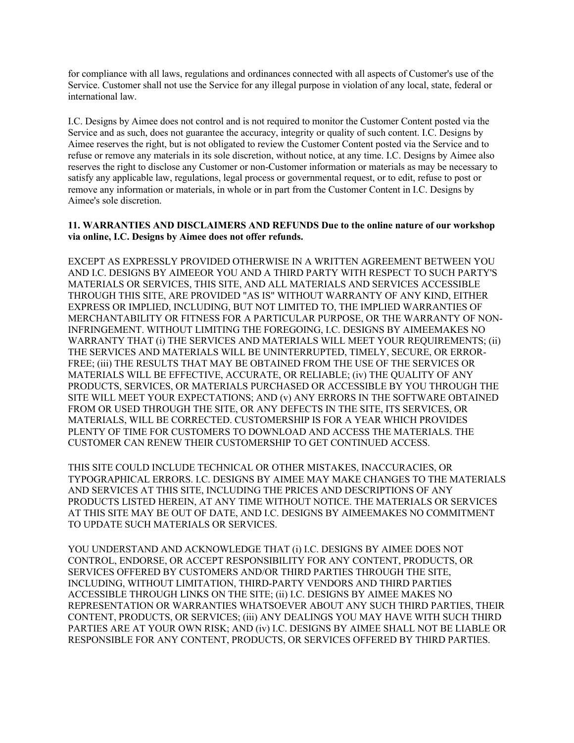for compliance with all laws, regulations and ordinances connected with all aspects of Customer's use of the Service. Customer shall not use the Service for any illegal purpose in violation of any local, state, federal or international law.

I.C. Designs by Aimee does not control and is not required to monitor the Customer Content posted via the Service and as such, does not guarantee the accuracy, integrity or quality of such content. I.C. Designs by Aimee reserves the right, but is not obligated to review the Customer Content posted via the Service and to refuse or remove any materials in its sole discretion, without notice, at any time. I.C. Designs by Aimee also reserves the right to disclose any Customer or non-Customer information or materials as may be necessary to satisfy any applicable law, regulations, legal process or governmental request, or to edit, refuse to post or remove any information or materials, in whole or in part from the Customer Content in I.C. Designs by Aimee's sole discretion.

## **11. WARRANTIES AND DISCLAIMERS AND REFUNDS Due to the online nature of our workshop via online, I.C. Designs by Aimee does not offer refunds.**

EXCEPT AS EXPRESSLY PROVIDED OTHERWISE IN A WRITTEN AGREEMENT BETWEEN YOU AND I.C. DESIGNS BY AIMEEOR YOU AND A THIRD PARTY WITH RESPECT TO SUCH PARTY'S MATERIALS OR SERVICES, THIS SITE, AND ALL MATERIALS AND SERVICES ACCESSIBLE THROUGH THIS SITE, ARE PROVIDED "AS IS" WITHOUT WARRANTY OF ANY KIND, EITHER EXPRESS OR IMPLIED, INCLUDING, BUT NOT LIMITED TO, THE IMPLIED WARRANTIES OF MERCHANTABILITY OR FITNESS FOR A PARTICULAR PURPOSE, OR THE WARRANTY OF NON-INFRINGEMENT. WITHOUT LIMITING THE FOREGOING, I.C. DESIGNS BY AIMEEMAKES NO WARRANTY THAT (i) THE SERVICES AND MATERIALS WILL MEET YOUR REQUIREMENTS; (ii) THE SERVICES AND MATERIALS WILL BE UNINTERRUPTED, TIMELY, SECURE, OR ERROR-FREE; (iii) THE RESULTS THAT MAY BE OBTAINED FROM THE USE OF THE SERVICES OR MATERIALS WILL BE EFFECTIVE, ACCURATE, OR RELIABLE; (iv) THE QUALITY OF ANY PRODUCTS, SERVICES, OR MATERIALS PURCHASED OR ACCESSIBLE BY YOU THROUGH THE SITE WILL MEET YOUR EXPECTATIONS; AND (v) ANY ERRORS IN THE SOFTWARE OBTAINED FROM OR USED THROUGH THE SITE, OR ANY DEFECTS IN THE SITE, ITS SERVICES, OR MATERIALS, WILL BE CORRECTED. CUSTOMERSHIP IS FOR A YEAR WHICH PROVIDES PLENTY OF TIME FOR CUSTOMERS TO DOWNLOAD AND ACCESS THE MATERIALS. THE CUSTOMER CAN RENEW THEIR CUSTOMERSHIP TO GET CONTINUED ACCESS.

THIS SITE COULD INCLUDE TECHNICAL OR OTHER MISTAKES, INACCURACIES, OR TYPOGRAPHICAL ERRORS. I.C. DESIGNS BY AIMEE MAY MAKE CHANGES TO THE MATERIALS AND SERVICES AT THIS SITE, INCLUDING THE PRICES AND DESCRIPTIONS OF ANY PRODUCTS LISTED HEREIN, AT ANY TIME WITHOUT NOTICE. THE MATERIALS OR SERVICES AT THIS SITE MAY BE OUT OF DATE, AND I.C. DESIGNS BY AIMEEMAKES NO COMMITMENT TO UPDATE SUCH MATERIALS OR SERVICES.

YOU UNDERSTAND AND ACKNOWLEDGE THAT (i) I.C. DESIGNS BY AIMEE DOES NOT CONTROL, ENDORSE, OR ACCEPT RESPONSIBILITY FOR ANY CONTENT, PRODUCTS, OR SERVICES OFFERED BY CUSTOMERS AND/OR THIRD PARTIES THROUGH THE SITE, INCLUDING, WITHOUT LIMITATION, THIRD-PARTY VENDORS AND THIRD PARTIES ACCESSIBLE THROUGH LINKS ON THE SITE; (ii) I.C. DESIGNS BY AIMEE MAKES NO REPRESENTATION OR WARRANTIES WHATSOEVER ABOUT ANY SUCH THIRD PARTIES, THEIR CONTENT, PRODUCTS, OR SERVICES; (iii) ANY DEALINGS YOU MAY HAVE WITH SUCH THIRD PARTIES ARE AT YOUR OWN RISK; AND (iv) I.C. DESIGNS BY AIMEE SHALL NOT BE LIABLE OR RESPONSIBLE FOR ANY CONTENT, PRODUCTS, OR SERVICES OFFERED BY THIRD PARTIES.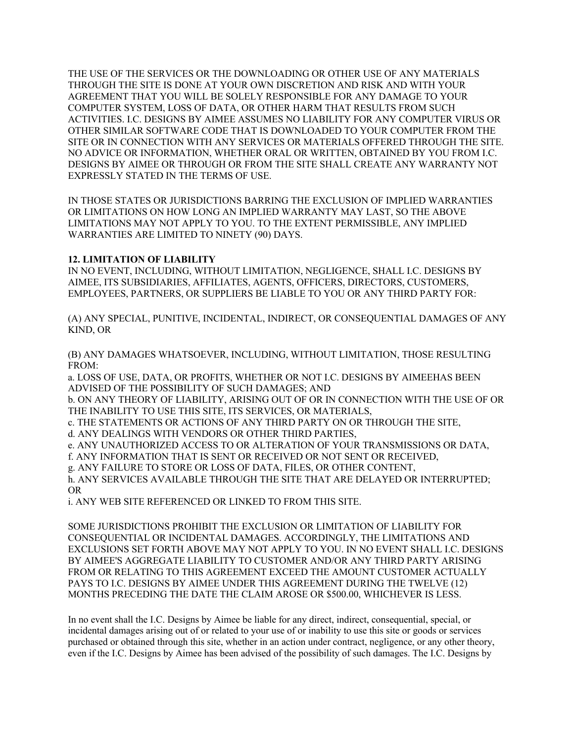THE USE OF THE SERVICES OR THE DOWNLOADING OR OTHER USE OF ANY MATERIALS THROUGH THE SITE IS DONE AT YOUR OWN DISCRETION AND RISK AND WITH YOUR AGREEMENT THAT YOU WILL BE SOLELY RESPONSIBLE FOR ANY DAMAGE TO YOUR COMPUTER SYSTEM, LOSS OF DATA, OR OTHER HARM THAT RESULTS FROM SUCH ACTIVITIES. I.C. DESIGNS BY AIMEE ASSUMES NO LIABILITY FOR ANY COMPUTER VIRUS OR OTHER SIMILAR SOFTWARE CODE THAT IS DOWNLOADED TO YOUR COMPUTER FROM THE SITE OR IN CONNECTION WITH ANY SERVICES OR MATERIALS OFFERED THROUGH THE SITE. NO ADVICE OR INFORMATION, WHETHER ORAL OR WRITTEN, OBTAINED BY YOU FROM I.C. DESIGNS BY AIMEE OR THROUGH OR FROM THE SITE SHALL CREATE ANY WARRANTY NOT EXPRESSLY STATED IN THE TERMS OF USE.

IN THOSE STATES OR JURISDICTIONS BARRING THE EXCLUSION OF IMPLIED WARRANTIES OR LIMITATIONS ON HOW LONG AN IMPLIED WARRANTY MAY LAST, SO THE ABOVE LIMITATIONS MAY NOT APPLY TO YOU. TO THE EXTENT PERMISSIBLE, ANY IMPLIED WARRANTIES ARE LIMITED TO NINETY (90) DAYS.

# **12. LIMITATION OF LIABILITY**

IN NO EVENT, INCLUDING, WITHOUT LIMITATION, NEGLIGENCE, SHALL I.C. DESIGNS BY AIMEE, ITS SUBSIDIARIES, AFFILIATES, AGENTS, OFFICERS, DIRECTORS, CUSTOMERS, EMPLOYEES, PARTNERS, OR SUPPLIERS BE LIABLE TO YOU OR ANY THIRD PARTY FOR:

(A) ANY SPECIAL, PUNITIVE, INCIDENTAL, INDIRECT, OR CONSEQUENTIAL DAMAGES OF ANY KIND, OR

(B) ANY DAMAGES WHATSOEVER, INCLUDING, WITHOUT LIMITATION, THOSE RESULTING FROM:

a. LOSS OF USE, DATA, OR PROFITS, WHETHER OR NOT I.C. DESIGNS BY AIMEEHAS BEEN ADVISED OF THE POSSIBILITY OF SUCH DAMAGES; AND

b. ON ANY THEORY OF LIABILITY, ARISING OUT OF OR IN CONNECTION WITH THE USE OF OR THE INABILITY TO USE THIS SITE, ITS SERVICES, OR MATERIALS,

c. THE STATEMENTS OR ACTIONS OF ANY THIRD PARTY ON OR THROUGH THE SITE,

d. ANY DEALINGS WITH VENDORS OR OTHER THIRD PARTIES,

e. ANY UNAUTHORIZED ACCESS TO OR ALTERATION OF YOUR TRANSMISSIONS OR DATA,

f. ANY INFORMATION THAT IS SENT OR RECEIVED OR NOT SENT OR RECEIVED,

g. ANY FAILURE TO STORE OR LOSS OF DATA, FILES, OR OTHER CONTENT,

h. ANY SERVICES AVAILABLE THROUGH THE SITE THAT ARE DELAYED OR INTERRUPTED; OR

i. ANY WEB SITE REFERENCED OR LINKED TO FROM THIS SITE.

SOME JURISDICTIONS PROHIBIT THE EXCLUSION OR LIMITATION OF LIABILITY FOR CONSEQUENTIAL OR INCIDENTAL DAMAGES. ACCORDINGLY, THE LIMITATIONS AND EXCLUSIONS SET FORTH ABOVE MAY NOT APPLY TO YOU. IN NO EVENT SHALL I.C. DESIGNS BY AIMEE'S AGGREGATE LIABILITY TO CUSTOMER AND/OR ANY THIRD PARTY ARISING FROM OR RELATING TO THIS AGREEMENT EXCEED THE AMOUNT CUSTOMER ACTUALLY PAYS TO I.C. DESIGNS BY AIMEE UNDER THIS AGREEMENT DURING THE TWELVE (12) MONTHS PRECEDING THE DATE THE CLAIM AROSE OR \$500.00, WHICHEVER IS LESS.

In no event shall the I.C. Designs by Aimee be liable for any direct, indirect, consequential, special, or incidental damages arising out of or related to your use of or inability to use this site or goods or services purchased or obtained through this site, whether in an action under contract, negligence, or any other theory, even if the I.C. Designs by Aimee has been advised of the possibility of such damages. The I.C. Designs by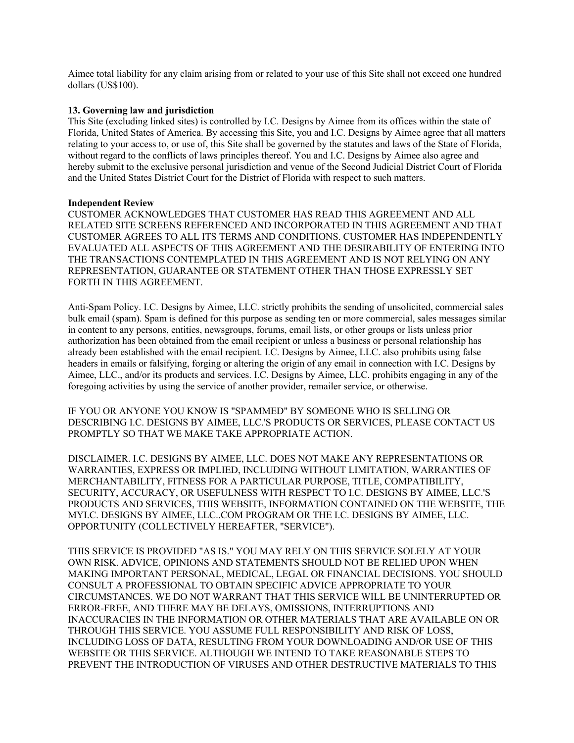Aimee total liability for any claim arising from or related to your use of this Site shall not exceed one hundred dollars (US\$100).

#### **13. Governing law and jurisdiction**

This Site (excluding linked sites) is controlled by I.C. Designs by Aimee from its offices within the state of Florida, United States of America. By accessing this Site, you and I.C. Designs by Aimee agree that all matters relating to your access to, or use of, this Site shall be governed by the statutes and laws of the State of Florida, without regard to the conflicts of laws principles thereof. You and I.C. Designs by Aimee also agree and hereby submit to the exclusive personal jurisdiction and venue of the Second Judicial District Court of Florida and the United States District Court for the District of Florida with respect to such matters.

#### **Independent Review**

CUSTOMER ACKNOWLEDGES THAT CUSTOMER HAS READ THIS AGREEMENT AND ALL RELATED SITE SCREENS REFERENCED AND INCORPORATED IN THIS AGREEMENT AND THAT CUSTOMER AGREES TO ALL ITS TERMS AND CONDITIONS. CUSTOMER HAS INDEPENDENTLY EVALUATED ALL ASPECTS OF THIS AGREEMENT AND THE DESIRABILITY OF ENTERING INTO THE TRANSACTIONS CONTEMPLATED IN THIS AGREEMENT AND IS NOT RELYING ON ANY REPRESENTATION, GUARANTEE OR STATEMENT OTHER THAN THOSE EXPRESSLY SET FORTH IN THIS AGREEMENT.

Anti-Spam Policy. I.C. Designs by Aimee, LLC. strictly prohibits the sending of unsolicited, commercial sales bulk email (spam). Spam is defined for this purpose as sending ten or more commercial, sales messages similar in content to any persons, entities, newsgroups, forums, email lists, or other groups or lists unless prior authorization has been obtained from the email recipient or unless a business or personal relationship has already been established with the email recipient. I.C. Designs by Aimee, LLC. also prohibits using false headers in emails or falsifying, forging or altering the origin of any email in connection with I.C. Designs by Aimee, LLC., and/or its products and services. I.C. Designs by Aimee, LLC. prohibits engaging in any of the foregoing activities by using the service of another provider, remailer service, or otherwise.

IF YOU OR ANYONE YOU KNOW IS "SPAMMED" BY SOMEONE WHO IS SELLING OR DESCRIBING I.C. DESIGNS BY AIMEE, LLC.'S PRODUCTS OR SERVICES, PLEASE CONTACT US PROMPTLY SO THAT WE MAKE TAKE APPROPRIATE ACTION.

DISCLAIMER. I.C. DESIGNS BY AIMEE, LLC. DOES NOT MAKE ANY REPRESENTATIONS OR WARRANTIES, EXPRESS OR IMPLIED, INCLUDING WITHOUT LIMITATION, WARRANTIES OF MERCHANTABILITY, FITNESS FOR A PARTICULAR PURPOSE, TITLE, COMPATIBILITY, SECURITY, ACCURACY, OR USEFULNESS WITH RESPECT TO I.C. DESIGNS BY AIMEE, LLC.'S PRODUCTS AND SERVICES, THIS WEBSITE, INFORMATION CONTAINED ON THE WEBSITE, THE MYI.C. DESIGNS BY AIMEE, LLC..COM PROGRAM OR THE I.C. DESIGNS BY AIMEE, LLC. OPPORTUNITY (COLLECTIVELY HEREAFTER, "SERVICE").

THIS SERVICE IS PROVIDED "AS IS." YOU MAY RELY ON THIS SERVICE SOLELY AT YOUR OWN RISK. ADVICE, OPINIONS AND STATEMENTS SHOULD NOT BE RELIED UPON WHEN MAKING IMPORTANT PERSONAL, MEDICAL, LEGAL OR FINANCIAL DECISIONS. YOU SHOULD CONSULT A PROFESSIONAL TO OBTAIN SPECIFIC ADVICE APPROPRIATE TO YOUR CIRCUMSTANCES. WE DO NOT WARRANT THAT THIS SERVICE WILL BE UNINTERRUPTED OR ERROR-FREE, AND THERE MAY BE DELAYS, OMISSIONS, INTERRUPTIONS AND INACCURACIES IN THE INFORMATION OR OTHER MATERIALS THAT ARE AVAILABLE ON OR THROUGH THIS SERVICE. YOU ASSUME FULL RESPONSIBILITY AND RISK OF LOSS, INCLUDING LOSS OF DATA, RESULTING FROM YOUR DOWNLOADING AND/OR USE OF THIS WEBSITE OR THIS SERVICE. ALTHOUGH WE INTEND TO TAKE REASONABLE STEPS TO PREVENT THE INTRODUCTION OF VIRUSES AND OTHER DESTRUCTIVE MATERIALS TO THIS